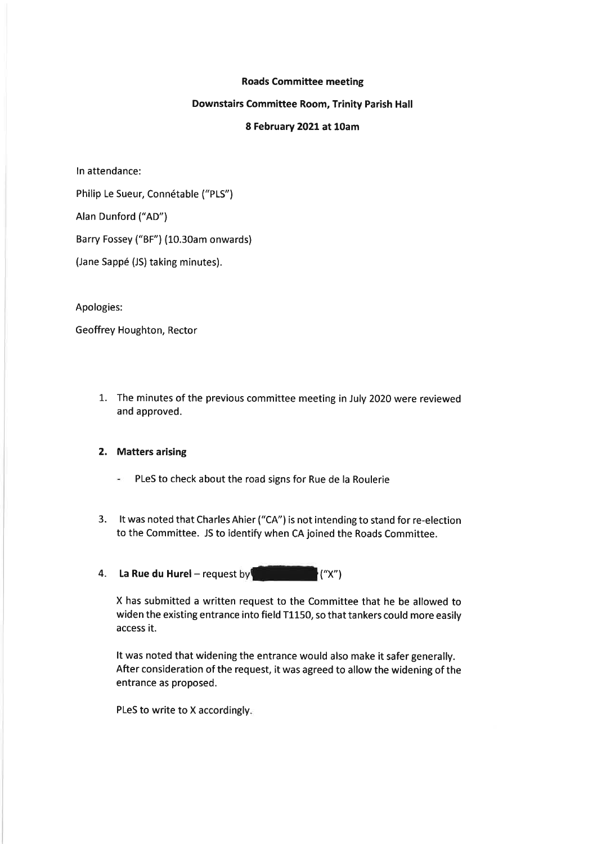#### Roads Committee meeting

### Downstairs Committee Room, Trinity Parish Hall

### 8 February 2021 at loam

ln attendance:

Philip Le Sueur, Connétable ("PLS")

Alan Dunford ("AD")

Barry Fossey ("BF") (10.30am onwards)

(Jane Sappé (JS) taking minutes).

Apologies:

Geoffrey Houghton, Rector

1. The minutes of the previous committee meeting in July 2020 were reviewed and approved.

## 2. Matters arising

- PLeS to check about the road signs for Rue de la Roulerie æ.
- 3. lt was noted that Charles Ahier ("CA") is not intending to stand for re-election to the Committee. JS to identify when CA joined the Roads Committee.
- 4. La Rue du Hurel request by  $(''X'')$

X has submitted a written request to the Committee that he be allowed to widen the existing entrance into field T1150, so that tankers could more easily access it.

It was noted that widening the entrance would also make it safer generally. After consideration of the request, it was agreed to allow the widening of the entrance as proposed.

PLeS to write to X accordingly.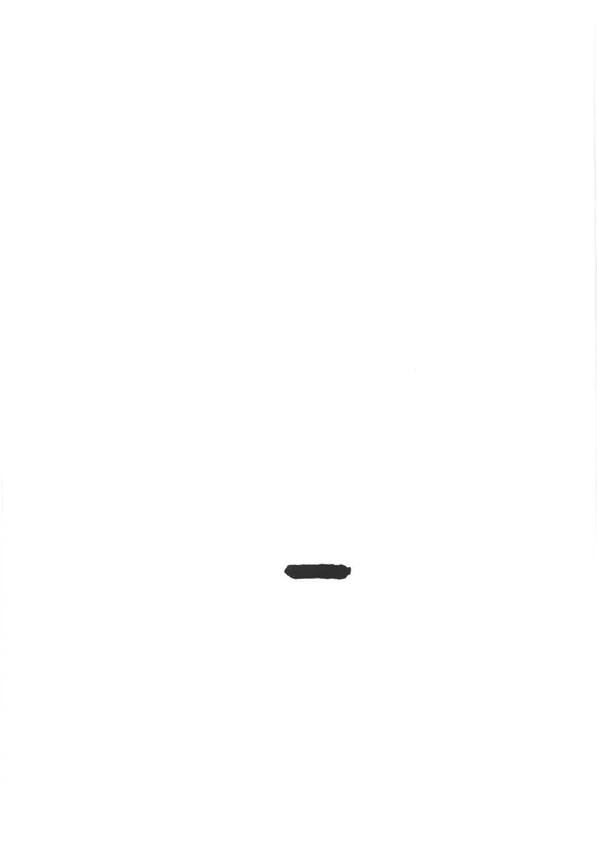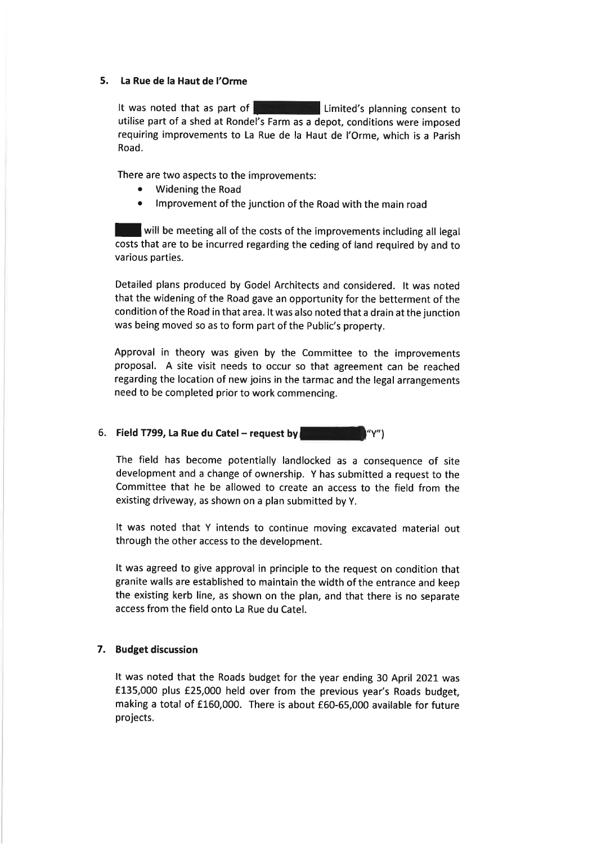#### 5. La Rue de la Haut de l'Orme

It was noted that as part of **Limited's planning consent to** utilise part of a shed at Rondel's Farm as a depot, conditions were imposed requiring improvements to La Rue de la Haut de l'Orme, which is a parish Road.

There are two aspects to the improvements:

- o Widening the Road
- o lmprovement of the junction of the Road with the main road

will be meeting all of the costs of the improvements including all legal costs that are to be incurred regarding the ceding of land required by and to various parties.

Detailed plans produced by Godel Architects and considered. lt was noted that the widening of the Road gave an opportunity for the betterment of the condition of the Road in that area. lt was also noted that a drain at the junction was being moved so as to form part of the Public's property.

Approval in theory was given by the Committee to the improvements proposal. A site visit needs to occur so that agreement can be reached regarding the location of new joins in the tarmac and the legal arrangements need to be completed prior to work commencing.

#### 6. Field T799, La Rue du Catel - request by "Y")

The field has become potentially landlocked as a consequence of site development and a change of ownership. Y has submitted a request to the Committee that he be allowed to create an access to the field from the existing driveway, as shown on a plan submitted by y.

It was noted that Y intends to continue moving excavated material out through the other access to the development.

It was agreed to give approval in principle to the request on condition that granite walls are established to maintain the width of the entrance and keep the existing kerb line, as shown on the plan, and that there is no separate access from the field onto La Rue du Catel.

#### 7. Budget discussion

It was noted that the Roads budget for the year ending 30 April 2021 was f135,000 plus f25,000 held over from the previous year's Roads budget, making a total of £160,000. There is about £60-65,000 available for future projects.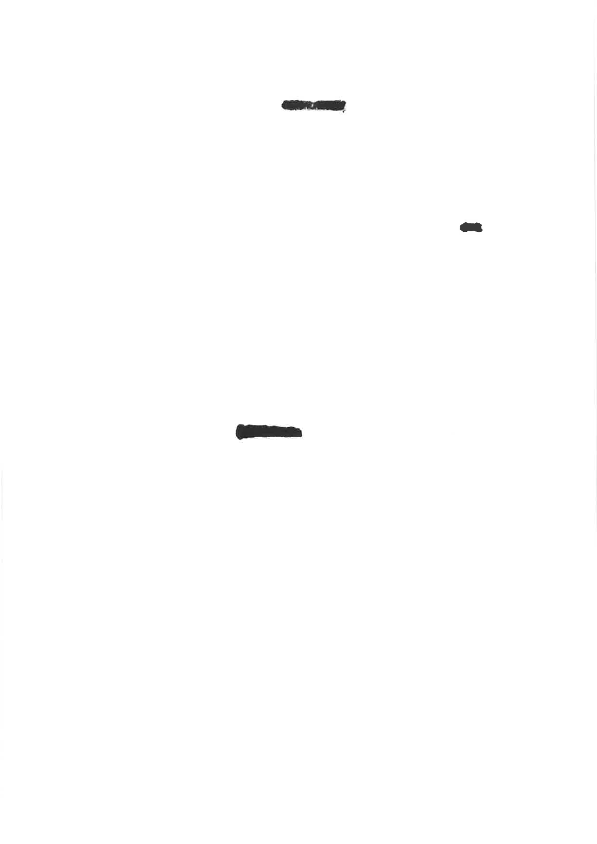**CONTRACTOR ALC CONTRACTOR**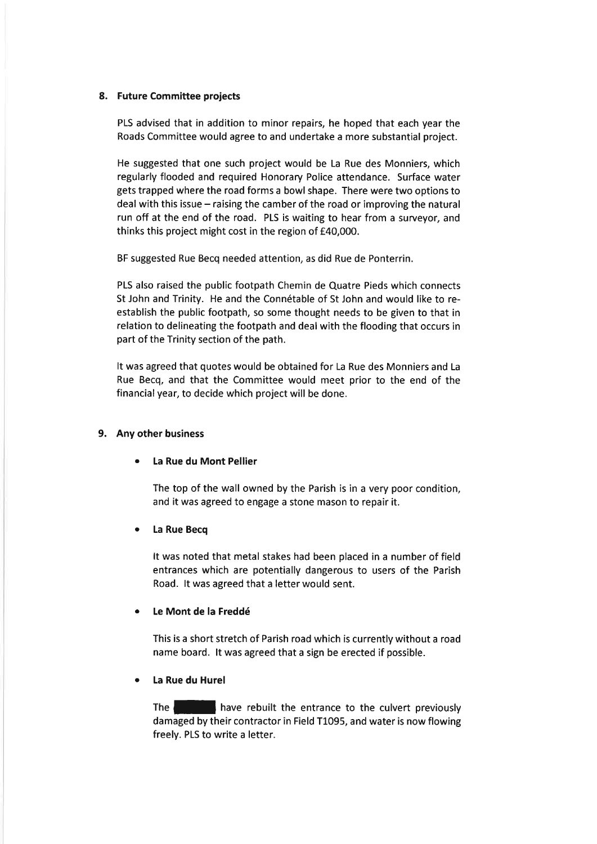#### 8. Future Committee projects

PLS advised that in addition to minor repairs, he hoped that each year the Roads Committee would agree to and undertake a more substantial project.

He suggested that one such project would be La Rue des Monniers, which regularly flooded and required Honorary Police attendance. Surface water gets trapped where the road forms a bowl shape. There were two options to deal with this issue – raising the camber of the road or improving the natural run off at the end of the road. PLS is waiting to hear from a surveyor, and thinks this project might cost in the region of £40,000.

BF suggested Rue Becq needed attention, as did Rue de Ponterrin.

PLS also raised the public footpath Chemin de Quatre Pieds which connects St John and Trinity. He and the Connétable of St John and would like to reestablish the public footpath, so some thought needs to be given to that in relation to delineating the footpath and deal with the flooding that occurs in part of the Trinity section of the path.

It was agreed that quotes would be obtained for La Rue des Monniers and La Rue Becq, and that the Committee would meet prior to the end of the financial year, to decide which project will be done.

#### 9. Any other business

#### <sup>a</sup> La Rue du Mont Pellier

The top of the wall owned by the Parish is in a very poor condition, and it was agreed to engage a stone mason to repair it.

#### La Rue Becq

It was noted that metal stakes had been placed in a number of field entrances which are potentially dangerous to users of the Parish Road. lt was agreed that a letter would sent.

#### Le Mont de la Freddé

This is a short stretch of Parish road which is currently without a road name board. lt was agreed that a sign be erected if possible.

#### La Rue du Hurel a

The  $\left\vert \right\rangle$  have rebuilt the entrance to the culvert previously damaged by their contractor in Field T1095, and water is now flowing freely. PLS to write a letter.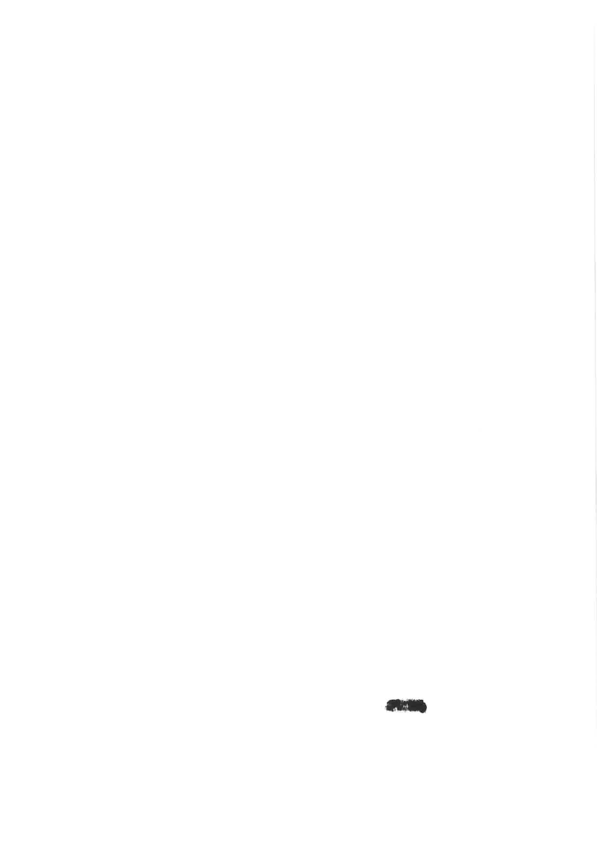# fil